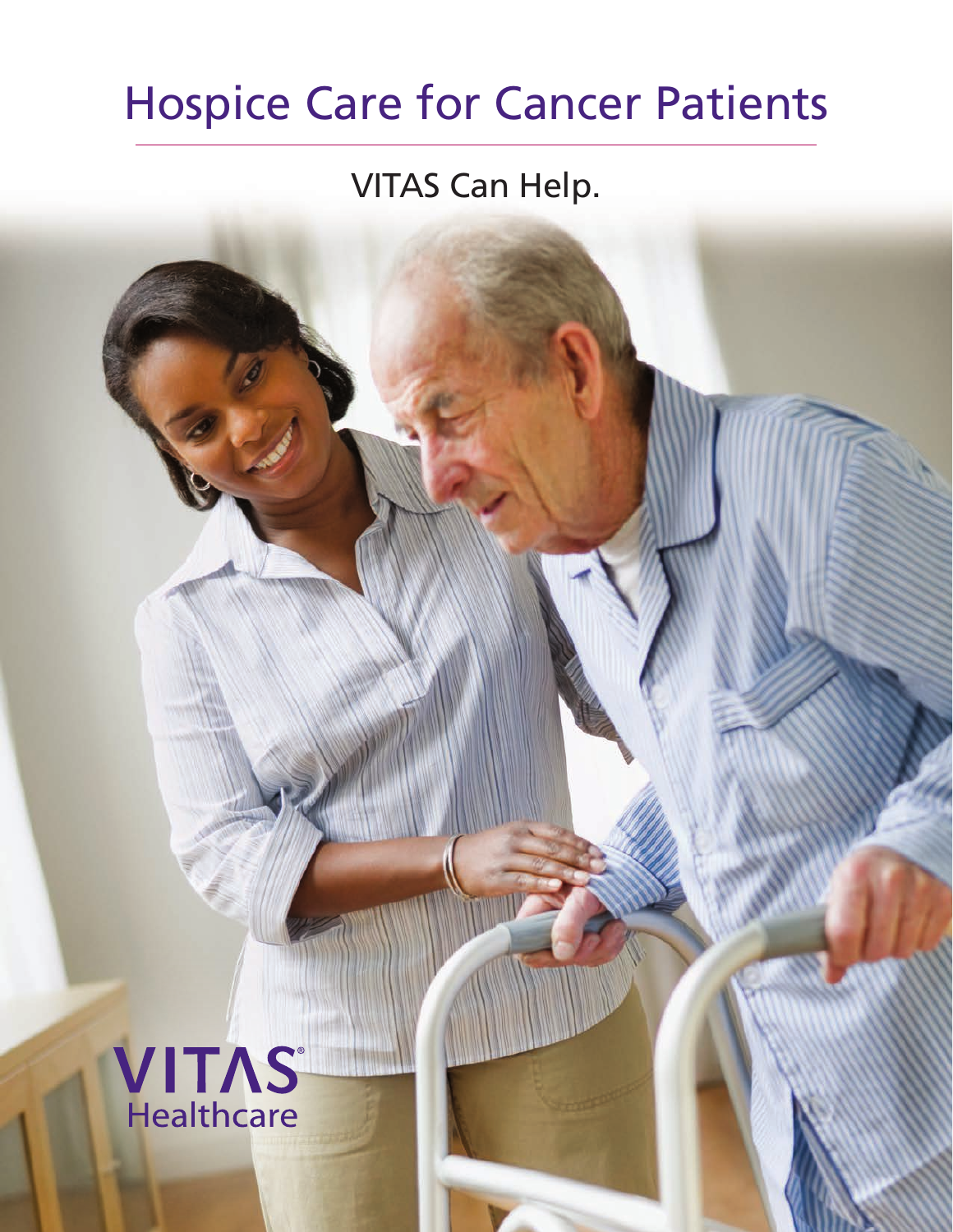# Hospice Care for Cancer Patients

## VITAS Can Help.

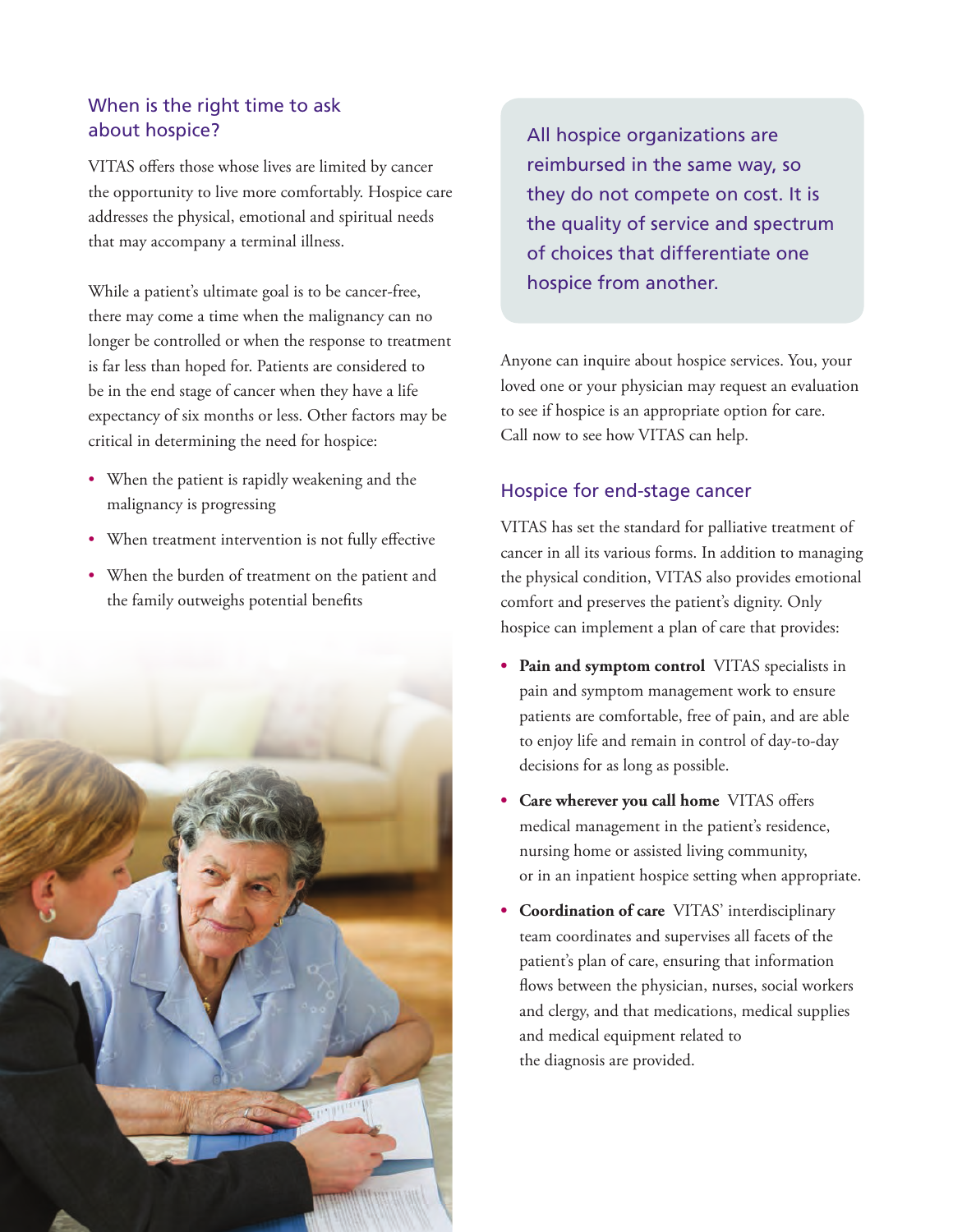#### When is the right time to ask about hospice?

VITAS offers those whose lives are limited by cancer the opportunity to live more comfortably. Hospice care addresses the physical, emotional and spiritual needs that may accompany a terminal illness.

While a patient's ultimate goal is to be cancer-free, there may come a time when the malignancy can no longer be controlled or when the response to treatment is far less than hoped for. Patients are considered to be in the end stage of cancer when they have a life expectancy of six months or less. Other factors may be critical in determining the need for hospice:

- When the patient is rapidly weakening and the malignancy is progressing
- When treatment intervention is not fully effective
- When the burden of treatment on the patient and the family outweighs potential benefits



All hospice organizations are reimbursed in the same way, so they do not compete on cost. It is the quality of service and spectrum of choices that differentiate one hospice from another.

Anyone can inquire about hospice services. You, your loved one or your physician may request an evaluation to see if hospice is an appropriate option for care. Call now to see how VITAS can help.

#### Hospice for end-stage cancer

VITAS has set the standard for palliative treatment of cancer in all its various forms. In addition to managing the physical condition, VITAS also provides emotional comfort and preserves the patient's dignity. Only hospice can implement a plan of care that provides:

- **• Pain and symptom control** VITAS specialists in pain and symptom management work to ensure patients are comfortable, free of pain, and are able to enjoy life and remain in control of day-to-day decisions for as long as possible.
- **• Care wherever you call home** VITAS offers medical management in the patient's residence, nursing home or assisted living community, or in an inpatient hospice setting when appropriate.
- **• Coordination of care** VITAS' interdisciplinary team coordinates and supervises all facets of the patient's plan of care, ensuring that information flows between the physician, nurses, social workers and clergy, and that medications, medical supplies and medical equipment related to the diagnosis are provided.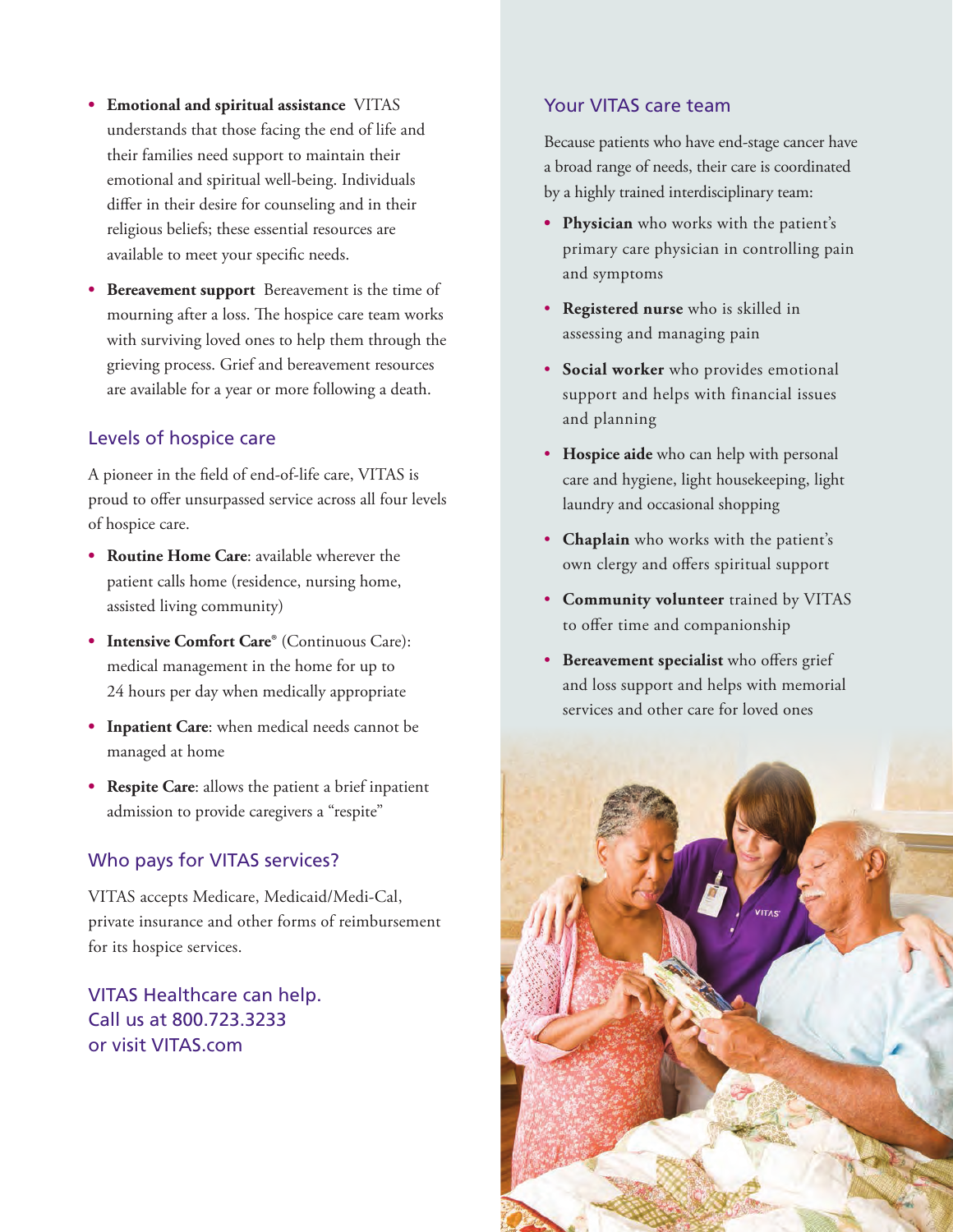- **• Emotional and spiritual assistance** VITAS understands that those facing the end of life and their families need support to maintain their emotional and spiritual well-being. Individuals differ in their desire for counseling and in their religious beliefs; these essential resources are available to meet your specific needs.
- **• Bereavement support** Bereavement is the time of mourning after a loss. The hospice care team works with surviving loved ones to help them through the grieving process. Grief and bereavement resources are available for a year or more following a death.

#### Levels of hospice care

A pioneer in the field of end-of-life care, VITAS is proud to offer unsurpassed service across all four levels of hospice care.

- **• Routine Home Care**: available wherever the patient calls home (residence, nursing home, assisted living community)
- **• Intensive Comfort Care®** (Continuous Care): medical management in the home for up to 24 hours per day when medically appropriate
- **• Inpatient Care**: when medical needs cannot be managed at home
- **• Respite Care**: allows the patient a brief inpatient admission to provide caregivers a "respite"

#### Who pays for VITAS services?

VITAS accepts Medicare, Medicaid/Medi-Cal, private insurance and other forms of reimbursement for its hospice services.

VITAS Healthcare can help. Call us at 800.723.3233 or visit VITAS.com

#### Your VITAS care team

Because patients who have end-stage cancer have a broad range of needs, their care is coordinated by a highly trained interdisciplinary team:

- **• Physician** who works with the patient's primary care physician in controlling pain and symptoms
- **Registered nurse** who is skilled in assessing and managing pain
- **Social worker** who provides emotional support and helps with financial issues and planning
- **Hospice aide** who can help with personal care and hygiene, light housekeeping, light laundry and occasional shopping
- **Chaplain** who works with the patient's own clergy and offers spiritual support
- **Community volunteer** trained by VITAS to offer time and companionship
- **Bereavement specialist** who offers grief and loss support and helps with memorial services and other care for loved ones